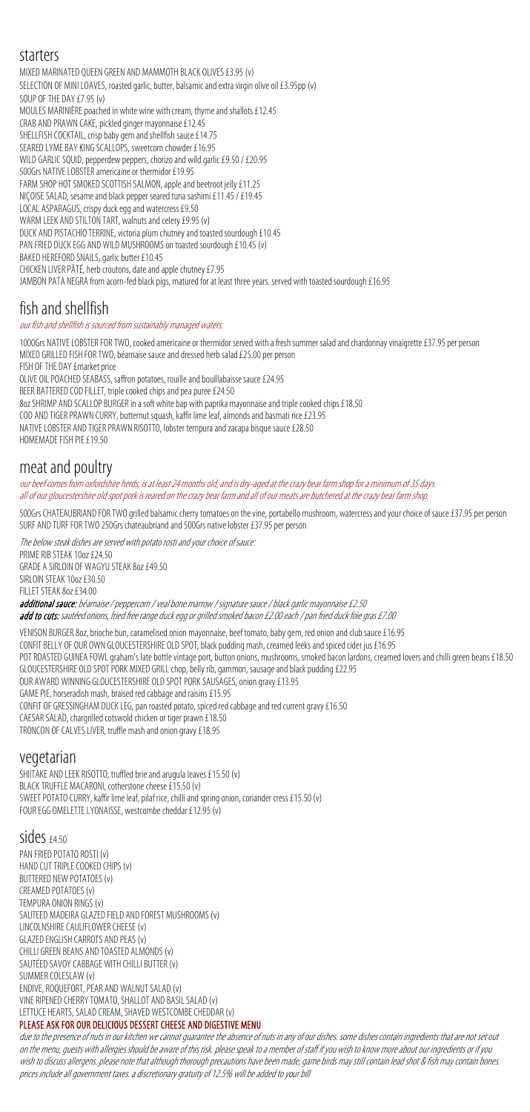## starters

MIXED MARINATED QUEEN GREEN AND MAMMOTH BLACK OLIVES £3.95 (v) SELECTION OF MINI LOAVES, roasted garlic, butter, balsamicand extra virgin olive oil £3.95pp (v) SOUP OF THE DAY £7.95 (v) MOULES MARINIÈRE poached in white wine with cream, thyme and shallots £12.45 CRAB AND PRAWN CAKE, pickled ginger mayonnaise £12.45 SHELLFISH COCKTAIL, crisp baby gem and shellfish sauce £14.75 SEARED LYME BAY KING SCALLOPS, sweetcorn chowder £16.95 WILD GARLIC SQUID, pepperdew peppers, chorizo and wild garlic £9.50 / £20.95 500Grs NATIVE LOBSTER americaine or thermidor £19.95 FARM SHOP HOT SMOKED SCOTTISH SALMON, apple and beetroot jelly £11.25 NIÇOISESALAD, sesame and black pepper seared tuna sashimi £11.45 / £19.45 LOCAL ASPARAGUS, crispy duck egg and watercress £9.50 WARM LEEK AND STILTON TART, walnuts and celery £9.95(v) DUCK AND PISTACHIO TERRINE, victoria plum chutney and toasted sourdough £10.45 PAN FRIED DUCK EGG AND WILD MUSHROOMS on toasted sourdough £10.45 (v) BAKED HEREFORD SNAILS, garlic butter £10.45 CHICKEN LIVER PÂTÉ, herb croutons, date and apple chutney £7.95 JAMBON PATA NEGRA from acorn-fed black pigs, matured for at least three years. served with toasted sourdough £16.95

NATIVE LOBSTER AND TIGER PRAWN RISOTTO, lobster tempura and zacapa bisque sauce £28.50 HOMEMADE FISH PIE £19.50

our beef comes from oxfordshire herds, is at least 24 months old, and is dry-aged at the crazy bear farm shop for a minimum of 35 days. all of our gloucestershire old spot pork is reared on the crazy bear farm and all of our meats are butchered at the crazy bear farm shop.

500Grs CHATEAUBRIAND FOR TWO grilled balsamic cherry tomatoes on the vine, portabello mushroom, watercress and your choice of sauce £37.95 per person SURF AND TURF FOR TWO 250Grs chateaubriand and 500Grs native lobster £37.95 per person

# fish and shellfish

our fish and shellfish is sourced from sustainably managed waters.

The below steak dishes are served with potato rosti and your choice of sauce: PRIME RIB STEAK 10oz £24.50 GRADE A SIRLOIN OF WAGYU STEAK 8oz £49.50 SIRLOIN STEAK 10oz £30.50 FILLET STEAK 8oz £34.00 additional sauce: béarnaise / peppercorn / veal bone marrow / signature sauce / black garlic mayonnaise £2.50 add to cuts: sautéed onions, fried free range duck egg or grilled smoked bacon £2.00 each / pan fried duck foie gras £7.00

1000Grs NATIVE LOBSTER FOR TWO, cooked americaine or thermidor served with a fresh summer salad and chardonnay vinaigrette £37.95 per person MIXED GRILLED FISH FOR TWO, béarnaise sauce and dressed herb salad £25.00 per person FISH OF THE DAY £market price

VENISON BURGER 8oz, brioche bun, caramelised onion mayonnaise, beef tomato, baby gem, red onionand club sauce£16.95 CONFIT BELLY OF OUR OWN GLOUCESTERSHIRE OLD SPOT,black pudding mash, creamed leeks and spiced cider jus £16.95 POT ROASTED GUINEA FOWL graham's late bottle vintage port, button onions, mushrooms, smoked bacon lardons, creamed lovers and chilli green beans £18.50 GLOUCESTERSHIRE OLD SPOT PORK MIXED GRILL chop, belly rib, gammon, sausage and black pudding £22.95 OUR AWARD WINNING GLOUCESTERSHIRE OLD SPOT PORK SAUSAGES, onion gravy £13.95 GAME PIE, horseradish mash, braised red cabbage and raisins £15.95 CONFIT OF GRESSINGHAM DUCK LEG, pan roasted potato, spiced red cabbage and red current gravy £16.50 CAESAR SALAD, chargrilled cotswold chicken or tiger prawn £18.50 TRONCON OF CALVES LIVER, truffle mash and onion gravy £18.95

OLIVE OIL POACHED SEABASS, saffron potatoes, rouille and bouillabaissesauce£24.95

BEER BATTERED COD FILLET, triple cooked chips and pea puree £24.50

8oz SHRIMP AND SCALLOP BURGER in a soft white bap with paprika mayonnaise and triple cooked chips £18.50

COD AND TIGER PRAWN CURRY, butternut squash, kaffir lime leaf, almonds and basmati rice £23.95

## meat and poultry

due to the presence of nuts in our kitchen we cannot guarantee the absence of nuts in any of our dishes. some dishes contain ingredients that are not set out on the menu, guests with allergies should be aware of this risk. please speak to a member of staff if you wish to know more about our ingredients or if you wish to discuss allergens. please note that although thorough precautions have been made, game birds may still contain lead shot & fish may contain bones. prices include all government taxes. a discretionary gratuity of 12.5% will be added to your bill

## vegetarian

SHIITAKE AND LEEK RISOTTO, truffled brie and arugula leaves £15.50 (v) BLACK TRUFFLE MACARONI, cotherstone cheese £15.50 (v) SWEET POTATO CURRY, kaffir lime leaf, pilaf rice, chilli and spring onion, coriander cress £15.50(v) FOUR EGG OMELETTE LYONAISSE, westcombe cheddar £12.95(v)

## Sides £4.50

PAN FRIED POTATO ROSTI (v) HAND CUT TRIPLE COOKED CHIPS(v) BUTTERED NEW POTATOES (v) CREAMED POTATOES (v) TEMPURA ONION RINGS(v) SAUTEED MADEIRA GLAZED FIELD AND FOREST MUSHROOMS(v) LINCOLNSHIRE CAULIFLOWER CHEESE(v) GLAZED ENGLISH CARROTS AND PEAS(v) CHILLI GREEN BEANS AND TOASTED ALMONDS(v) SAUTÉED SAVOY CABBAGE WITH CHILLI BUTTER(v) SUMMER COLESLAW (v) ENDIVE, ROQUEFORT, PEAR AND WALNUT SALAD (v) VINE RIPENED CHERRY TOMATO, SHALLOT AND BASIL SALAD (v) LETTUCE HEARTS, SALAD CREAM, SHAVED WESTCOMBE CHEDDAR(v) PLEASE ASK FOR OUR DELICIOUS DESSERT CHEESE AND DIGESTIVE MENU